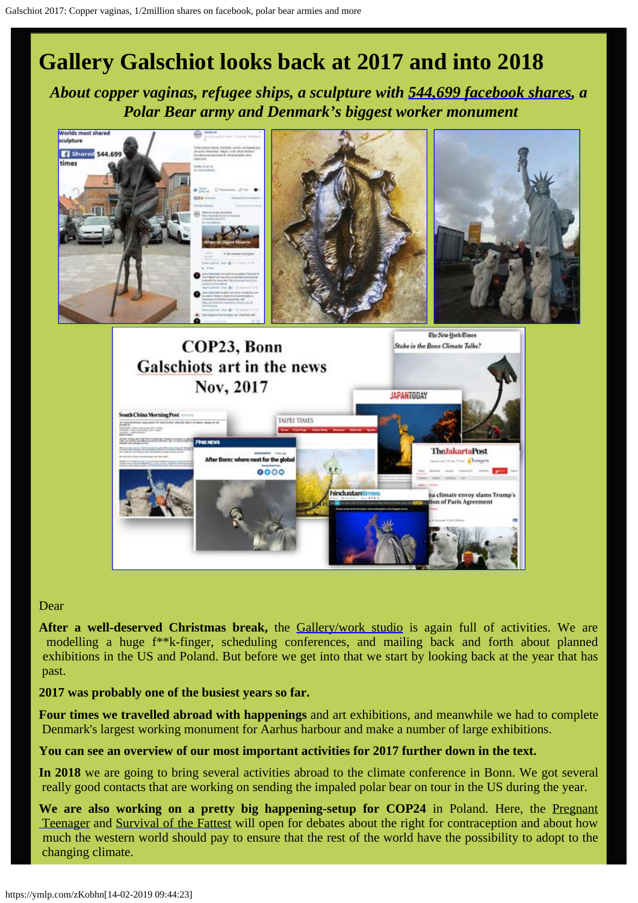# **Gallery Galschiot looks back at 2017 and into 2018**

*About copper vaginas, refugee ships, a sculpture with [544,699 facebook shares,](https://www.facebook.com/Observesempre/photos/a.1714801268760719.1073741828.1709260422648137/1855870131320498/?type=3&theater) a Polar Bear army and Denmark's biggest worker monument*



#### Dear

**After a well-deserved Christmas break,** the [Gallery/work studio](http://www.gallerigalschiot.dk/index_en.html) is again full of activities. We are modelling a huge f\*\*k-finger, scheduling conferences, and mailing back and forth about planned exhibitions in the US and Poland. But before we get into that we start by looking back at the year that has past.

a climate envoy slams Trump's of Paris Agreement

#### **2017 was probably one of the busiest years so far.**

**Four times we travelled abroad with happenings** and art exhibitions, and meanwhile we had to complete Denmark's largest working monument for Aarhus harbour and make a number of large exhibitions.

#### **You can see an overview of our most important activities for 2017 further down in the text.**

**In 2018** we are going to bring several activities abroad to the climate conference in Bonn. We got several really good contacts that are working on sending the impaled polar bear on tour in the US during the year.

We are also working on a pretty big happening-setup for COP24 in Poland. Here, the [Pregnant](http://www.galschiot.com/in-the-name-of-god/) Teenager and [Survival of the Fattest](http://www.galschiot.com/survival-of-the-fattest/) will open for debates about the right for contraception and about how much the western world should pay to ensure that the rest of the world have the possibility to adopt to the changing climate.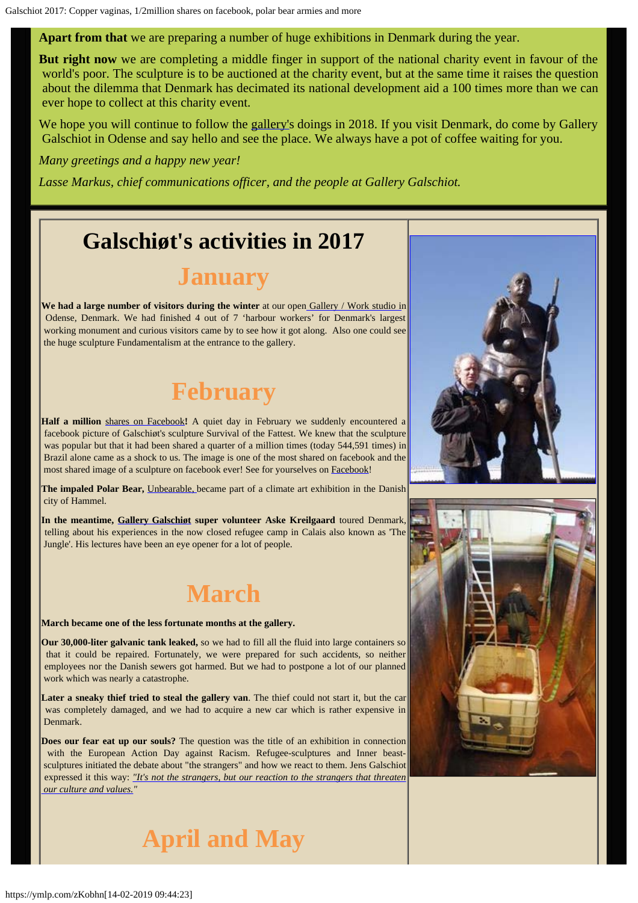**Apart from that** we are preparing a number of huge exhibitions in Denmark during the year.

**But right now** we are completing a middle finger in support of the national charity event in favour of the world's poor. The sculpture is to be auctioned at the charity event, but at the same time it raises the question about the dilemma that Denmark has decimated its national development aid a 100 times more than we can ever hope to collect at this charity event.

We hope you will continue to follow the [gallery'](http://www.gallerigalschiot.dk/index_en.html)s doings in 2018. If you visit Denmark, do come by Gallery Galschiot in Odense and say hello and see the place. We always have a pot of coffee waiting for you.

*Many greetings and a happy new year!*

*Lasse Markus, chief communications officer, and the people at Gallery Galschiot.*

### **Galschiøt's activities in 2017**

## **January**

**We had a large number of visitors during the winter** at our ope[n Gallery / Work studio i](http://www.gallerigalschiot.dk/index_en.html)n Odense, Denmark. We had finished 4 out of 7 'harbour workers' for Denmark's largest working monument and curious visitors came by to see how it got along. Also one could see the huge sculpture Fundamentalism at the entrance to the gallery.

# **February**

**Half a million** [shares on Facebook](http://www.facebook.com/Observesempre/photos/a.1714801268760719.1073741828.1709260422648137/1855870131320498/?type=3&theater)**!** A quiet day in February we suddenly encountered a facebook picture of Galschiøt's sculpture Survival of the Fattest. We knew that the sculpture was popular but that it had been shared a quarter of a million times (today 544,591 times) in Brazil alone came as a shock to us. The image is one of the most shared on facebook and the most shared image of a sculpture on facebook ever! See for yourselves on **[Facebook!](https://www.facebook.com/Observesempre/photos/a.1714801268760719.1073741828.1709260422648137/1855870131320498/?type=3&theater)** 

**The impaled Polar Bear,** [Unbearable,](http://www.galschiot.com/unbearable/) became part of a climate art exhibition in the Danish city of Hammel.

**In the meantime, [Gallery Galschiøt](http://www.gallerigalschiot.dk/index_en.html) super volunteer Aske Kreilgaard** toured Denmark, telling about his experiences in the now closed refugee camp in Calais also known as 'The Jungle'. His lectures have been an eye opener for a lot of people.

### **March**

#### **March became one of the less fortunate months at the gallery.**

**Our 30,000-liter galvanic tank leaked,** so we had to fill all the fluid into large containers so that it could be repaired. Fortunately, we were prepared for such accidents, so neither employees nor the Danish sewers got harmed. But we had to postpone a lot of our planned work which was nearly a catastrophe.

**Later a sneaky thief tried to steal the gallery van**. The thief could not start it, but the car was completely damaged, and we had to acquire a new car which is rather expensive in Denmark.

**Does our fear eat up our souls?** The question was the title of an exhibition in connection with the European Action Day against Racism. Refugee-sculptures and Inner beast sculptures initiated the debate about "the strangers" and how we react to them. Jens Galschiot expressed it this way: *["It's not the strangers, but our reaction to the strangers that threaten](http://www.galschiot.com/my-inner-beast/)  [our culture and values."](http://www.galschiot.com/my-inner-beast/)*



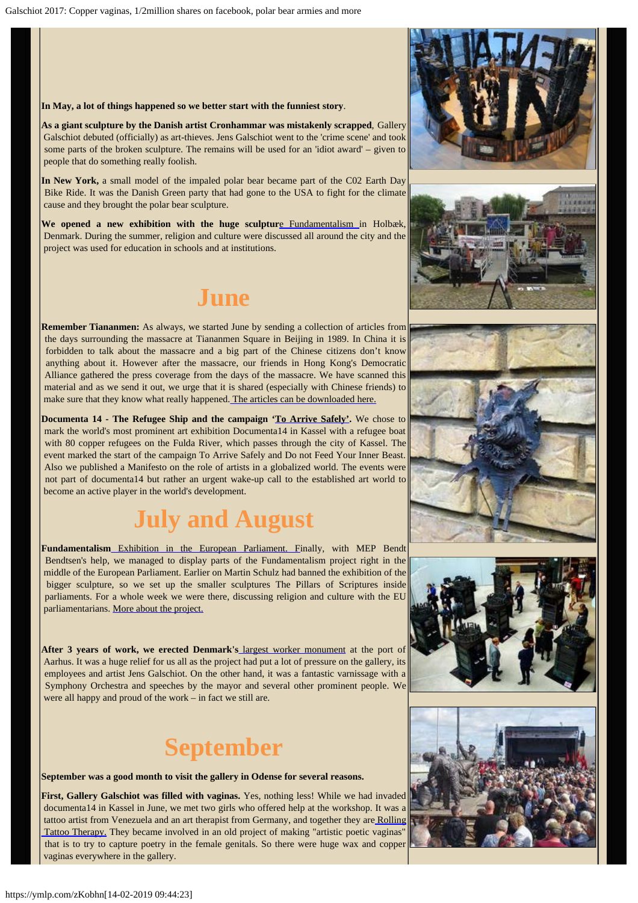#### **In May, a lot of things happened so we better start with the funniest story**.

**As a giant sculpture by the Danish artist Cronhammar was mistakenly scrapped**, Gallery Galschiot debuted (officially) as art-thieves. Jens Galschiot went to the 'crime scene' and took some parts of the broken sculpture. The remains will be used for an 'idiot award' – given to people that do something really foolish.

**In New York,** a small model of the impaled polar bear became part of the C02 Earth Day Bike Ride. It was the Danish Green party that had gone to the USA to fight for the climate cause and they brought the polar bear sculpture.

**We opened a new exhibition with the huge sculptur**[e Fundamentalism](http://fundamentalism.dk/en/) in Holbæk, Denmark. During the summer, religion and culture were discussed all around the city and the project was used for education in schools and at institutions.

### **June**

**Remember Tiananmen:** As always, we started June by sending a collection of articles from the days surrounding the massacre at Tiananmen Square in Beijing in 1989. In China it is forbidden to talk about the massacre and a big part of the Chinese citizens don't know anything about it. However after the massacre, our friends in Hong Kong's Democratic Alliance gathered the press coverage from the days of the massacre. We have scanned this material and as we send it out, we urge that it is shared (especially with Chinese friends) to make sure that they know what really happened[. The articles can be downloaded here.](http://www.aidoh.dk/?categoryID=183)

**Documenta 14 - The Refugee Ship and the campaign ['To Arrive Safely'](http://www.outlaw-diestiftung.de/home/).** We chose to mark the world's most prominent art exhibition Documenta14 in Kassel with a refugee boat with 80 copper refugees on the Fulda River, which passes through the city of Kassel. The event marked the start of the campaign To Arrive Safely and Do not Feed Your Inner Beast. Also we published a Manifesto on the role of artists in a globalized world. The events were not part of documenta14 but rather an urgent wake-up call to the established art world to become an active player in the world's development.

# **July and August**

**Fundamentalism** [Exhibition in the European Parliament. F](http://www.galschiot.com/the-european-parliament-2017/)inally, with MEP Bendt Bendtsen's help, we managed to display parts of the Fundamentalism project right in the middle of the European Parliament. Earlier on Martin Schulz had banned the exhibition of the bigger sculpture, so we set up the smaller sculptures The Pillars of Scriptures inside parliaments. For a whole week we were there, discussing religion and culture with the EU parliamentarians. [More about the project.](http://fundamentalism.dk/en/)

**After 3 years of work, we erected Denmark's** [largest worker monument](http://www.galschiot.com/dockworkermonument/) at the port of Aarhus. It was a huge relief for us all as the project had put a lot of pressure on the gallery, its employees and artist Jens Galschiot. On the other hand, it was a fantastic varnissage with a Symphony Orchestra and speeches by the mayor and several other prominent people. We were all happy and proud of the work – in fact we still are.

## **September**

**September was a good month to visit the gallery in Odense for several reasons.**

**First, Gallery Galschiot was filled with vaginas.** Yes, nothing less! While we had invaded documenta14 in Kassel in June, we met two girls who offered help at the workshop. It was a tattoo artist from Venezuela and an art therapist from Germany, and together they ar[e Rolling](https://www.rolling-tattoo-therapy.com/)  [Tattoo Therapy.](https://www.rolling-tattoo-therapy.com/) They became involved in an old project of making "artistic poetic vaginas" that is to try to capture poetry in the female genitals. So there were huge wax and copper vaginas everywhere in the gallery.









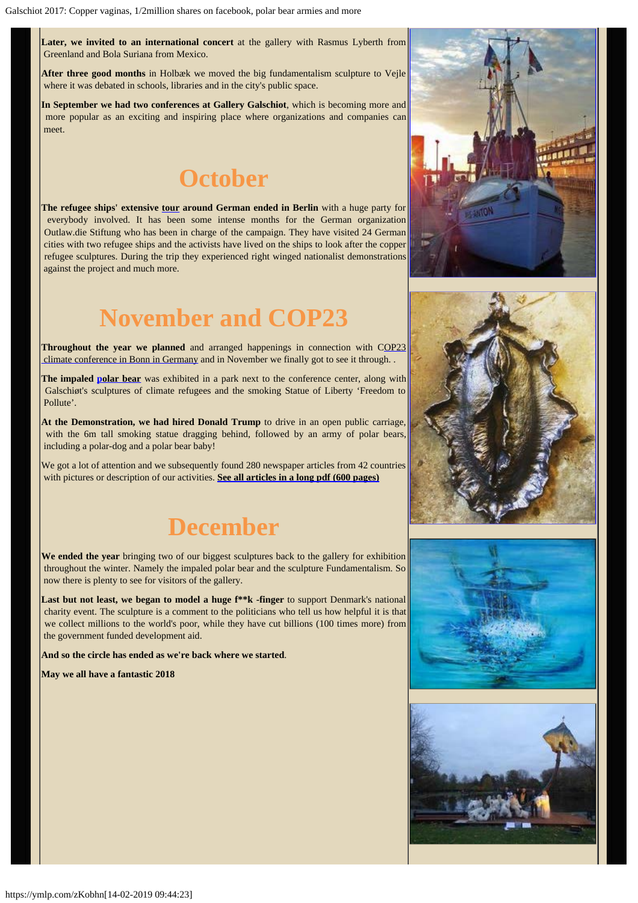Later, we invited to an international concert at the gallery with Rasmus Lyberth from Greenland and Bola Suriana from Mexico.

**After three good months** in Holbæk we moved the big fundamentalism sculpture to Vejle where it was debated in schools, libraries and in the city's public space.

**In September we had two conferences at Gallery Galschiot**, which is becoming more and more popular as an exciting and inspiring place where organizations and companies can meet.

## **October**

**The refugee ships' extensive [tour](http://www.outlaw-diestiftung.de/aktivitaeten/veranstaltungen/mit-sicherheit-gut-ankommen/) around German ended in Berlin** with a huge party for everybody involved. It has been some intense months for the German organization Outlaw.die Stiftung who has been in charge of the campaign. They have visited 24 German cities with two refugee ships and the activists have lived on the ships to look after the copper refugee sculptures. During the trip they experienced right winged nationalist demonstrations against the project and much more.

# **November and COP23**

**Throughout the year we planned** and arranged happenings in connection with [COP23](http://www.galschiot.com/cop23-in-bonn/)  [climate conference in Bonn in Germany](http://www.galschiot.com/cop23-in-bonn/) and in November we finally got to see it through. .

**The impaled [polar bear](http://www.galschiot.com/cop23-in-bonn/)** was exhibited in a park next to the conference center, along with Galschiøt's sculptures of climate refugees and the smoking Statue of Liberty 'Freedom to Pollute'.

**At the Demonstration, we had hired Donald Trump** to drive in an open public carriage, with the 6m tall smoking statue dragging behind, followed by an army of polar bears, including a polar-dog and a polar bear baby!

We got a lot of attention and we subsequently found 280 newspaper articles from 42 countries with pictures or description of our activities. **[See all articles in a long pdf \(600 pages\)](http://fundamentalism.dk/wp-content/uploads/Articles_COP23-PDF_Collection.pdf)**

## **December**

**We ended the year** bringing two of our biggest sculptures back to the gallery for exhibition throughout the winter. Namely the impaled polar bear and the sculpture Fundamentalism. So now there is plenty to see for visitors of the gallery.

Last but not least, we began to model a huge f\*\*k -finger to support Denmark's national charity event. The sculpture is a comment to the politicians who tell us how helpful it is that we collect millions to the world's poor, while they have cut billions (100 times more) from the government funded development aid.

**And so the circle has ended as we're back where we started**.

**May we all have a fantastic 2018**